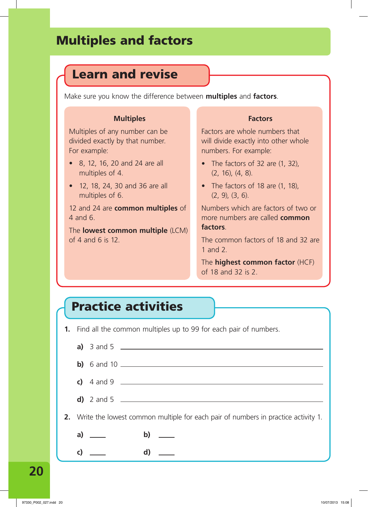## Multiples and factors

## Learn and revise

Make sure you know the difference between **multiples** and **factors**.

#### **Multiples**

Multiples of any number can be divided exactly by that number. For example:

- 8, 12, 16, 20 and 24 are all multiples of 4.
- 12, 18, 24, 30 and 36 are all multiples of 6.

12 and 24 are **common multiples** of 4 and 6.

The **lowest common multiple** (LCM) of 4 and 6 is 12.

#### **Factors**

Factors are whole numbers that will divide exactly into other whole numbers. For example:

- The factors of 32 are (1, 32), (2, 16), (4, 8).
- The factors of 18 are (1, 18), (2, 9), (3, 6).

Numbers which are factors of two or more numbers are called **common factors**.

The common factors of 18 and 32 are 1 and 2.

The **highest common factor** (HCF) of 18 and 32 is 2.

# Practice activities

**1.** Find all the common multiples up to 99 for each pair of numbers.

|  |                    | a) $3$ and $5$                                                                       |
|--|--------------------|--------------------------------------------------------------------------------------|
|  |                    |                                                                                      |
|  |                    |                                                                                      |
|  |                    |                                                                                      |
|  |                    | 2. Write the lowest common multiple for each pair of numbers in practice activity 1. |
|  | a) $\qquad \qquad$ | b)<br>$\sim$ $\sim$                                                                  |
|  |                    | d                                                                                    |